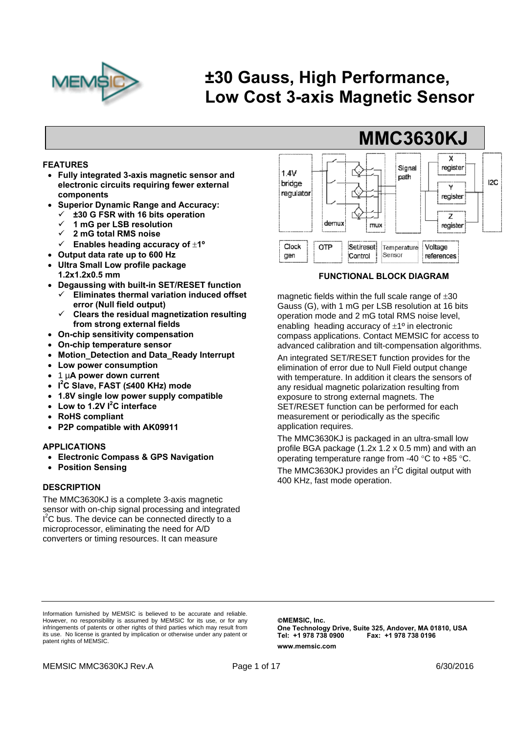

# **±30 Gauss, High Performance, Low Cost 3-axis Magnetic Sensor**

#### **FEATURES**

- **Fully integrated 3-axis magnetic sensor and electronic circuits requiring fewer external components**
- **Superior Dynamic Range and Accuracy:** 
	- **±30 G FSR with 16 bits operation**
	- **1 mG per LSB resolution**
	- **2 mG total RMS noise**
	- **Enables heading accuracy of 1º**
- **Output data rate up to 600 Hz**
- **Ultra Small Low profile package**
- **1.2x1.2x0.5 mm**
- **Degaussing with built-in SET/RESET function** 
	- **Eliminates thermal variation induced offset error (Null field output)**
	- **Clears the residual magnetization resulting from strong external fields**
- **On-chip sensitivity compensation**
- **On-chip temperature sensor**
- **Motion\_Detection and Data\_Ready Interrupt**
- **Low power consumption**
- 1 µ**A power down current**
- **I 2 C Slave, FAST (≤400 KHz) mode**
- **1.8V single low power supply compatible**
- **Low to 1.2V I2 C interface**
- **RoHS compliant**
- **P2P compatible with AK09911**

#### **APPLICATIONS**

- **Electronic Compass & GPS Navigation**
- **Position Sensing**

#### **DESCRIPTION**

The MMC3630KJ is a complete 3-axis magnetic sensor with on-chip signal processing and integrated I<sup>2</sup>C bus. The device can be connected directly to a microprocessor, eliminating the need for A/D converters or timing resources. It can measure



**FUNCTIONAL BLOCK DIAGRAM** 

magnetic fields within the full scale range of  $\pm 30$ Gauss (G), with 1 mG per LSB resolution at 16 bits operation mode and 2 mG total RMS noise level, enabling heading accuracy of  $\pm 1^{\circ}$  in electronic compass applications. Contact MEMSIC for access to advanced calibration and tilt-compensation algorithms.

An integrated SET/RESET function provides for the elimination of error due to Null Field output change with temperature. In addition it clears the sensors of any residual magnetic polarization resulting from exposure to strong external magnets. The SET/RESET function can be performed for each measurement or periodically as the specific application requires.

The MMC3630KJ is packaged in an ultra-small low profile BGA package (1.2x 1.2 x 0.5 mm) and with an operating temperature range from -40  $\degree$ C to +85  $\degree$ C.

The MMC3630KJ provides an  $I^2C$  digital output with 400 KHz, fast mode operation.

Information furnished by MEMSIC is believed to be accurate and reliable. However, no responsibility is assumed by MEMSIC for its use, or for any infringements of patents or other rights of third parties which may result from its use. No license is granted by implication or otherwise under any patent or patent rights of MEMSIC.

**MEMSIC, Inc. One Technology Drive, Suite 325, Andover, MA 01810, USA Tel: +1 978 738 0900 Fax: +1 978 738 0196 www.memsic.com**

MEMSIC MMC3630KJ Rev.A **Page 1 of 17 Page 1 of 17** 6/30/2016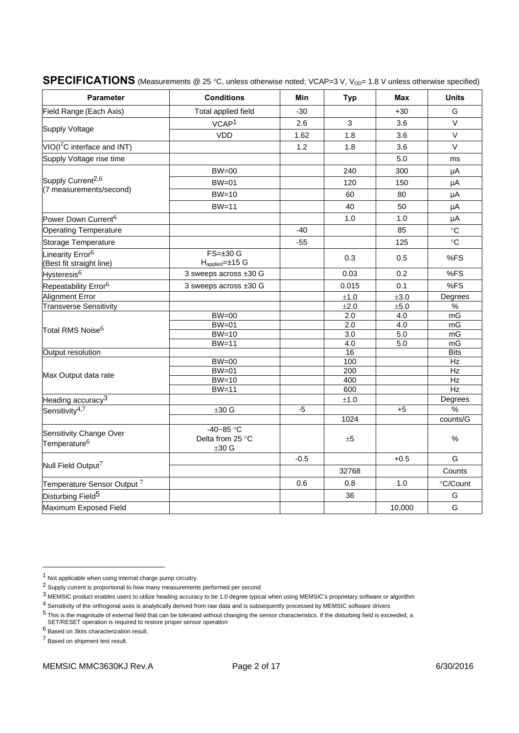| <b>Parameter</b>                                         | <b>Conditions</b>                                        | Min    | <b>Typ</b>       | Max              | <b>Units</b>  |
|----------------------------------------------------------|----------------------------------------------------------|--------|------------------|------------------|---------------|
| Field Range (Each Axis)                                  | Total applied field                                      | $-30$  |                  | $+30$            | G             |
|                                                          | VCAP <sup>1</sup>                                        | 2.6    | 3                | 3.6              | V             |
| <b>Supply Voltage</b>                                    | <b>VDD</b>                                               | 1.62   | 1.8              | 3.6              | $\vee$        |
| $VIO(I2C$ interface and INT)                             |                                                          | 1.2    | 1.8              | 3.6              | $\vee$        |
| Supply Voltage rise time                                 |                                                          |        |                  | 5.0              | ms            |
|                                                          | $BW=00$                                                  |        | 240              | 300              | μA            |
| Supply Current <sup>2,6</sup>                            | $BW=01$                                                  |        | 120              | 150              | μA            |
| (7 measurements/second)                                  | $BW=10$                                                  |        | 60               | 80               | μA            |
|                                                          | $BW=11$                                                  |        | 40               | 50               | μA            |
| Power Down Current <sup>6</sup>                          |                                                          |        | 1.0              | 1.0              | μA            |
| <b>Operating Temperature</b>                             |                                                          | $-40$  |                  | 85               | °C            |
| Storage Temperature                                      |                                                          | $-55$  |                  | 125              | $\circ$ C     |
| Linearity Error <sup>6</sup><br>(Best fit straight line) | $FS=\pm 30 G$<br>$H_{\text{applied}} = \pm 15 \text{ G}$ |        | 0.3              | 0.5              | %FS           |
| Hysteresis <sup>6</sup>                                  | 3 sweeps across ±30 G                                    |        | 0.03             | 0.2              | %FS           |
| Repeatability Error <sup>6</sup>                         | 3 sweeps across ±30 G                                    |        | 0.015            | 0.1              | %FS           |
| Alignment Error                                          |                                                          |        | ±1.0             | ±3.0             | Degrees       |
| <b>Transverse Sensitivity</b>                            |                                                          |        | ±2.0             | $\pm 5.0$        | $\%$          |
|                                                          | $BW=00$                                                  |        | 2.0              | 4.0              | mG            |
| Total RMS Noise <sup>6</sup>                             | $BW=01$                                                  |        | $\overline{2.0}$ | $\overline{4.0}$ | mG            |
|                                                          | $BW=10$                                                  |        | $\overline{3.0}$ | 5.0              | mG            |
|                                                          | $BW=11$                                                  |        | 4.0              | 5.0              | mG            |
| Output resolution                                        |                                                          |        | 16               |                  | <b>Bits</b>   |
|                                                          | $BW=00$                                                  |        | 100              |                  | $\mathsf{Hz}$ |
| Max Output data rate                                     | $BW=01$                                                  |        | 200              |                  | Hz            |
|                                                          | $BW=10$                                                  |        | 400              |                  | Hz            |
|                                                          | $BW=11$                                                  |        | 600              |                  | Hz            |
| Heading accuracy <sup>3</sup>                            |                                                          |        | $\pm 1.0$        |                  | Degrees       |
| Sensitivity <sup>4,7</sup>                               | ±30 G                                                    | -5     |                  | +5               | $\frac{0}{0}$ |
|                                                          |                                                          |        | 1024             |                  | counts/G      |
| Sensitivity Change Over<br>Temperature <sup>6</sup>      | $-40-85$ °C<br>Delta from 25 °C<br>$±30$ G               |        | ±5               |                  | $\%$          |
|                                                          |                                                          | $-0.5$ |                  | $+0.5$           | G             |
| Null Field Output <sup>7</sup>                           |                                                          |        | 32768            |                  | Counts        |
| Temperature Sensor Output $^7$                           |                                                          | 0.6    | 0.8              | 1.0              | °C/Count      |
| Disturbing Field <sup>5</sup>                            |                                                          |        | 36               |                  | G             |
| Maximum Exposed Field                                    |                                                          |        |                  | 10,000           | G             |

## **SPECIFICATIONS** (Measurements @ 25 °C, unless otherwise noted; VCAP=3 V, V<sub>DD</sub>= 1.8 V unless otherwise specified)

6 Based on 3lots characterization result.

7 Based on shipment test result.

 $\overline{a}$ 

 $1$  Not applicable when using internal charge pump circuitry

<sup>2</sup> Supply current is proportional to how many measurements performed per second

 $3$  MEMSIC product enables users to utilize heading accuracy to be 1.0 degree typical when using MEMSIC's proprietary software or algorithm

<sup>4</sup> Sensitivity of the orthogonal axes is analytically derived from raw data and is subsequently processed by MEMSIC software drivers

<sup>5</sup> This is the magnitude of external field that can be tolerated without changing the sensor characteristics. If the disturbing field is exceeded, a SET/RESET operation is required to restore proper sensor operation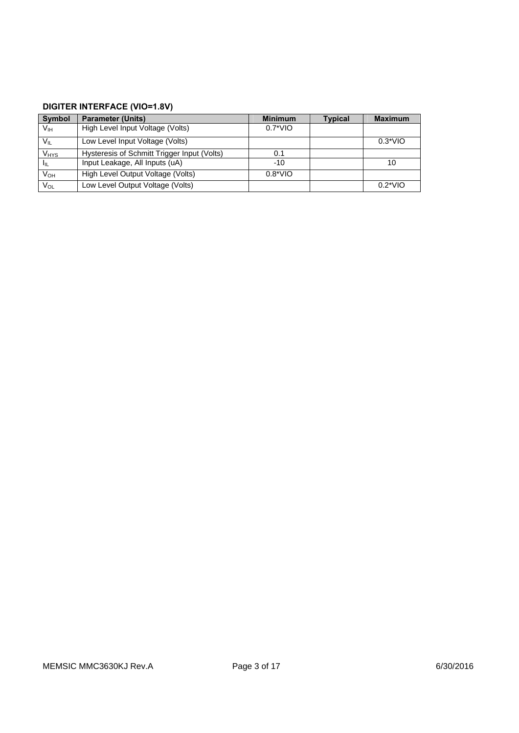## **DIGITER INTERFACE (VIO=1.8V)**

| <b>Symbol</b>          | <b>Parameter (Units)</b>                    | <b>Minimum</b>   | <b>Typical</b> | <b>Maximum</b> |
|------------------------|---------------------------------------------|------------------|----------------|----------------|
| V <sub>IH</sub>        | High Level Input Voltage (Volts)            | $0.7^*$ VIO      |                |                |
| $V_{IL}$               | Low Level Input Voltage (Volts)             |                  |                | $0.3*VIO$      |
| <b>V<sub>HYS</sub></b> | Hysteresis of Schmitt Trigger Input (Volts) | 0.1              |                |                |
| Iщ                     | Input Leakage, All Inputs (uA)              | $-10$            |                | 10             |
| V <sub>OH</sub>        | High Level Output Voltage (Volts)           | $0.8^{\ast}$ VIO |                |                |
| Vol                    | Low Level Output Voltage (Volts)            |                  |                | $0.2*VIO$      |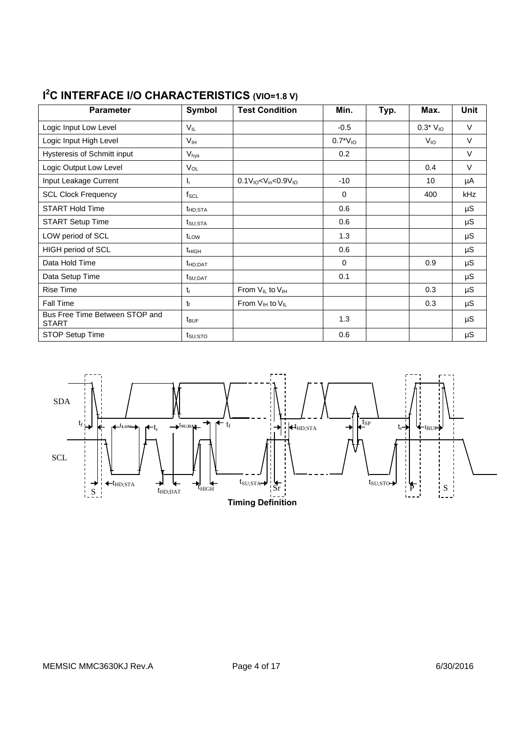| <b>Parameter</b>                               | Symbol              | <b>Test Condition</b>                | Min.         | Typ. | Max.            | <b>Unit</b> |
|------------------------------------------------|---------------------|--------------------------------------|--------------|------|-----------------|-------------|
| Logic Input Low Level                          | $V_{IL}$            |                                      | $-0.5$       |      | $0.3*V_{10}$    | $\vee$      |
| Logic Input High Level                         | V <sub>IH</sub>     |                                      | $0.7*V_{10}$ |      | V <sub>IO</sub> | $\vee$      |
| <b>Hysteresis of Schmitt input</b>             | $V_{\text{hys}}$    |                                      | 0.2          |      |                 | $\vee$      |
| Logic Output Low Level                         | $V_{OL}$            |                                      |              |      | 0.4             | $\vee$      |
| Input Leakage Current                          | Ιj.                 | $0.1V_{10}$ < $V_{in}$ < $0.9V_{10}$ | -10          |      | 10              | μA          |
| <b>SCL Clock Frequency</b>                     | $f_{\rm SCL}$       |                                      | $\mathbf 0$  |      | 400             | kHz         |
| <b>START Hold Time</b>                         | t <sub>HD;STA</sub> |                                      | 0.6          |      |                 | $\mu$ S     |
| <b>START Setup Time</b>                        | $t_{\text{SU;STA}}$ |                                      | 0.6          |      |                 | $\mu$ S     |
| LOW period of SCL                              | t <sub>LOW</sub>    |                                      | 1.3          |      |                 | $\mu S$     |
| <b>HIGH period of SCL</b>                      | $t_{HIGH}$          |                                      | 0.6          |      |                 | $\mu S$     |
| Data Hold Time                                 | $t_{HD;DAT}$        |                                      | $\Omega$     |      | 0.9             | $\mu S$     |
| Data Setup Time                                | $t_{\text{SU;DAT}}$ |                                      | 0.1          |      |                 | $\mu S$     |
| <b>Rise Time</b>                               | $t_{r}$             | From $V_{IL}$ to $V_{IH}$            |              |      | 0.3             | $\mu$ S     |
| Fall Time                                      | $t_{\rm f}$         | From $V_{IH}$ to $V_{IL}$            |              |      | 0.3             | $\mu$ S     |
| Bus Free Time Between STOP and<br><b>START</b> | $t_{\text{BUF}}$    |                                      | 1.3          |      |                 | $\mu S$     |
| STOP Setup Time                                | $t_{\text{SU;STO}}$ |                                      | 0.6          |      |                 | $\mu S$     |

## **I 2 C INTERFACE I/O CHARACTERISTICS (VIO=1.8 V)**

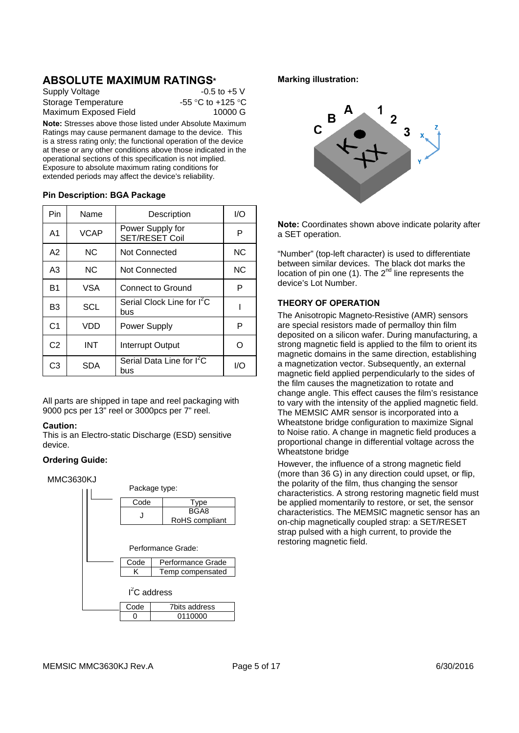## **ABSOLUTE MAXIMUM RATINGS\***

| $-0.5$ to $+5$ V  |
|-------------------|
| -55 °C to +125 °C |
| 10000 G           |
|                   |

**Note:** Stresses above those listed under Absolute Maximum Ratings may cause permanent damage to the device. This is a stress rating only; the functional operation of the device at these or any other conditions above those indicated in the operational sections of this specification is not implied. Exposure to absolute maximum rating conditions for extended periods may affect the device's reliability.

#### **Pin Description: BGA Package**

| Pin            | Name           | Description                                   | I/O       |
|----------------|----------------|-----------------------------------------------|-----------|
| A <sub>1</sub> | <b>VCAP</b>    | Power Supply for<br><b>SET/RESET Coil</b>     | P         |
| A2             | N <sub>C</sub> | Not Connected                                 | <b>NC</b> |
| A <sub>3</sub> | NC.            | <b>Not Connected</b>                          | <b>NC</b> |
| <b>B1</b>      | VSA            | Connect to Ground                             | P         |
| B <sub>3</sub> | <b>SCL</b>     | Serial Clock Line for I <sup>2</sup> C<br>bus |           |
| C <sub>1</sub> | VDD            | Power Supply                                  | P         |
| C <sub>2</sub> | INT            | Interrupt Output                              |           |
| C3             | SDA            | Serial Data Line for I <sup>2</sup> C<br>bus  | I/O       |

All parts are shipped in tape and reel packaging with 9000 pcs per 13" reel or 3000pcs per 7" reel.

#### **Caution:**

This is an Electro-static Discharge (ESD) sensitive device.

#### **Ordering Guide:**

#### MMC3630KJ



#### **Marking illustration:**



**Note:** Coordinates shown above indicate polarity after a SET operation.

"Number" (top-left character) is used to differentiate between similar devices. The black dot marks the location of pin one  $(1)$ . The  $2^{nd}$  line represents the device's Lot Number.

#### **THEORY OF OPERATION**

The Anisotropic Magneto-Resistive (AMR) sensors are special resistors made of permalloy thin film deposited on a silicon wafer. During manufacturing, a strong magnetic field is applied to the film to orient its magnetic domains in the same direction, establishing a magnetization vector. Subsequently, an external magnetic field applied perpendicularly to the sides of the film causes the magnetization to rotate and change angle. This effect causes the film's resistance to vary with the intensity of the applied magnetic field. The MEMSIC AMR sensor is incorporated into a Wheatstone bridge configuration to maximize Signal to Noise ratio. A change in magnetic field produces a proportional change in differential voltage across the Wheatstone bridge

However, the influence of a strong magnetic field (more than 36 G) in any direction could upset, or flip, the polarity of the film, thus changing the sensor characteristics. A strong restoring magnetic field must be applied momentarily to restore, or set, the sensor characteristics. The MEMSIC magnetic sensor has an on-chip magnetically coupled strap: a SET/RESET strap pulsed with a high current, to provide the restoring magnetic field.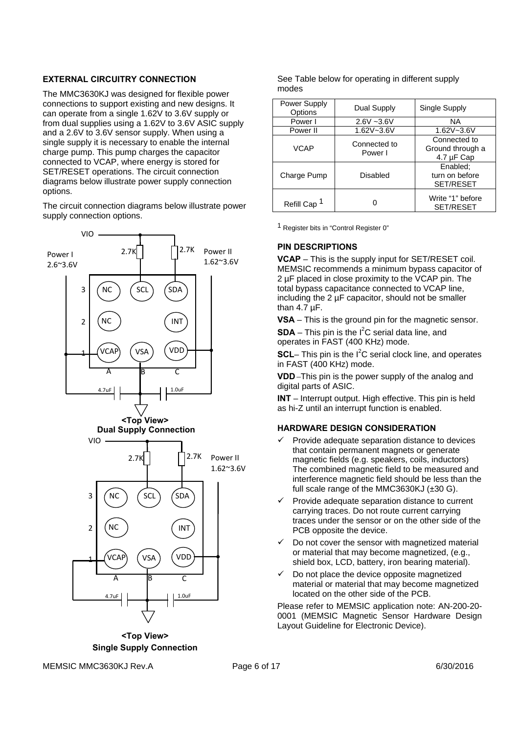#### **EXTERNAL CIRCUITRY CONNECTION**

The MMC3630KJ was designed for flexible power connections to support existing and new designs. It can operate from a single 1.62V to 3.6V supply or from dual supplies using a 1.62V to 3.6V ASIC supply and a 2.6V to 3.6V sensor supply. When using a single supply it is necessary to enable the internal charge pump. This pump charges the capacitor connected to VCAP, where energy is stored for SET/RESET operations. The circuit connection diagrams below illustrate power supply connection options.

The circuit connection diagrams below illustrate power supply connection options.



**<Top View> Single Supply Connection** 

See Table below for operating in different supply modes

| Power Supply<br>Options | Dual Supply             | Single Supply                                  |
|-------------------------|-------------------------|------------------------------------------------|
| Power I                 | $2.6V - 3.6V$           | NA.                                            |
| Power II                | $1.62V - 3.6V$          | 1.62V~3.6V                                     |
| VCAP                    | Connected to<br>Power I | Connected to<br>Ground through a<br>4.7 µF Cap |
| Charge Pump             | Disabled                | Enabled:<br>turn on before<br><b>SET/RESET</b> |
| Refill Cap <sup>1</sup> | O                       | Write "1" before<br><b>SET/RESET</b>           |

1 Register bits in "Control Register 0"

#### **PIN DESCRIPTIONS**

**VCAP** – This is the supply input for SET/RESET coil. MEMSIC recommends a minimum bypass capacitor of 2 µF placed in close proximity to the VCAP pin. The total bypass capacitance connected to VCAP line, including the 2 µF capacitor, should not be smaller than 4.7 µF.

**VSA** – This is the ground pin for the magnetic sensor.

 $SDA - This$  pin is the  $I<sup>2</sup>C$  serial data line, and operates in FAST (400 KHz) mode.

**SCL**– This pin is the  $I^2C$  serial clock line, and operates in FAST (400 KHz) mode.

**VDD** –This pin is the power supply of the analog and digital parts of ASIC.

**INT** – Interrupt output. High effective. This pin is held as hi-Z until an interrupt function is enabled.

#### **HARDWARE DESIGN CONSIDERATION**

- Provide adequate separation distance to devices that contain permanent magnets or generate magnetic fields (e.g. speakers, coils, inductors) The combined magnetic field to be measured and interference magnetic field should be less than the full scale range of the MMC3630KJ (±30 G).
- $\checkmark$  Provide adequate separation distance to current carrying traces. Do not route current carrying traces under the sensor or on the other side of the PCB opposite the device.
- Do not cover the sensor with magnetized material or material that may become magnetized, (e.g., shield box, LCD, battery, iron bearing material).
- Do not place the device opposite magnetized material or material that may become magnetized located on the other side of the PCB.

Please refer to MEMSIC application note: AN-200-20- 0001 (MEMSIC Magnetic Sensor Hardware Design Layout Guideline for Electronic Device).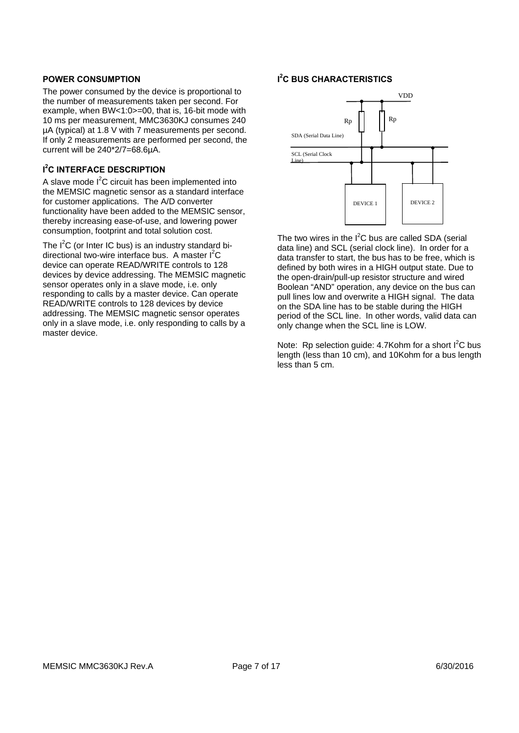#### **POWER CONSUMPTION**

The power consumed by the device is proportional to the number of measurements taken per second. For example, when BW<1:0>=00, that is, 16-bit mode with 10 ms per measurement, MMC3630KJ consumes 240 µA (typical) at 1.8 V with 7 measurements per second. If only 2 measurements are performed per second, the current will be 240\*2/7=68.6µA.

#### **I 2 C INTERFACE DESCRIPTION**

A slave mode  $I^2C$  circuit has been implemented into the MEMSIC magnetic sensor as a standard interface for customer applications. The A/D converter functionality have been added to the MEMSIC sensor, thereby increasing ease-of-use, and lowering power consumption, footprint and total solution cost.

The  $I^2C$  (or Inter IC bus) is an industry standard bidirectional two-wire interface bus. A master l<sup>2</sup>C device can operate READ/WRITE controls to 128 devices by device addressing. The MEMSIC magnetic sensor operates only in a slave mode, i.e. only responding to calls by a master device. Can operate READ/WRITE controls to 128 devices by device addressing. The MEMSIC magnetic sensor operates only in a slave mode, i.e. only responding to calls by a master device.

#### **I 2 C BUS CHARACTERISTICS**



The two wires in the  $I^2C$  bus are called SDA (serial data line) and SCL (serial clock line). In order for a data transfer to start, the bus has to be free, which is defined by both wires in a HIGH output state. Due to the open-drain/pull-up resistor structure and wired Boolean "AND" operation, any device on the bus can pull lines low and overwrite a HIGH signal. The data on the SDA line has to be stable during the HIGH period of the SCL line. In other words, valid data can only change when the SCL line is LOW.

Note: Rp selection guide: 4.7Kohm for a short  $I^2C$  bus length (less than 10 cm), and 10Kohm for a bus length less than 5 cm.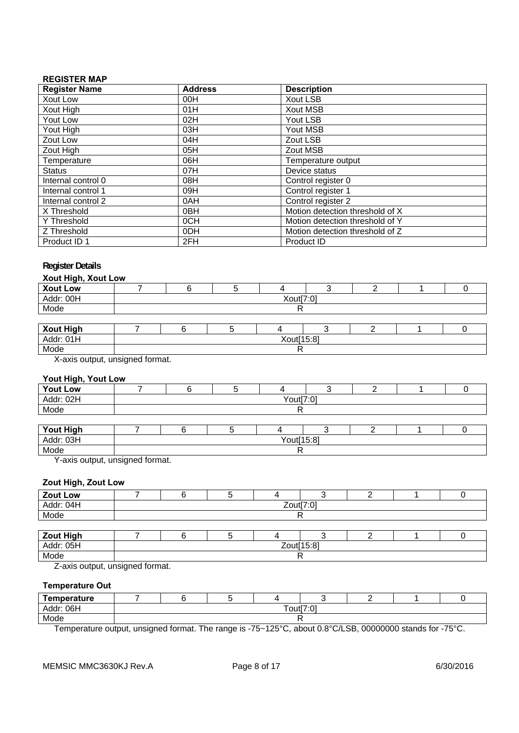#### **REGISTER MAP**

| <b>Register Name</b> | <b>Address</b>  | <b>Description</b>              |
|----------------------|-----------------|---------------------------------|
| Xout Low             | 00H             | <b>Xout LSB</b>                 |
| Xout High            | 01H             | <b>Xout MSB</b>                 |
| Yout Low             | 02H             | Yout LSB                        |
| Yout High            | 03H             | Yout MSB                        |
| Zout Low             | 04H             | Zout LSB                        |
| Zout High            | 05H             | Zout MSB                        |
| Temperature          | 06H             | Temperature output              |
| <b>Status</b>        | 07H             | Device status                   |
| Internal control 0   | 08H             | Control register 0              |
| Internal control 1   | 09H             | Control register 1              |
| Internal control 2   | 0AH             | Control register 2              |
| X Threshold          | 0 <sub>BH</sub> | Motion detection threshold of X |
| Y Threshold          | 0CH             | Motion detection threshold of Y |
| Z Threshold          | 0DH             | Motion detection threshold of Z |
| Product ID 1         | 2FH             | Product ID                      |

#### **Register Details**

#### **Xout High, Xout Low**

| $\sim$ $\sim$<br><b>Xout Low</b> |           |            |  |  |  |  |  |  |  |  |  |
|----------------------------------|-----------|------------|--|--|--|--|--|--|--|--|--|
| Addr: 00H                        | Xout[7:0] |            |  |  |  |  |  |  |  |  |  |
| Mode                             |           |            |  |  |  |  |  |  |  |  |  |
|                                  |           |            |  |  |  |  |  |  |  |  |  |
|                                  |           |            |  |  |  |  |  |  |  |  |  |
| Xout High<br>Addr: 01H           |           | Xout[15:8] |  |  |  |  |  |  |  |  |  |
| Mode                             |           |            |  |  |  |  |  |  |  |  |  |

X-axis output, unsigned format.

#### **Yout High, Yout Low**

| <b>Yout Low</b>  |           |            |  |  |  |  |  |  |  |  |  |
|------------------|-----------|------------|--|--|--|--|--|--|--|--|--|
| Addr: 02H        | Yout[7:0] |            |  |  |  |  |  |  |  |  |  |
| Mode             |           |            |  |  |  |  |  |  |  |  |  |
|                  |           |            |  |  |  |  |  |  |  |  |  |
| <b>Yout High</b> |           |            |  |  |  |  |  |  |  |  |  |
| Addr: 03H        |           | Yout[15:8] |  |  |  |  |  |  |  |  |  |
| Mode             |           |            |  |  |  |  |  |  |  |  |  |

Y-axis output, unsigned format.

#### **Zout High, Zout Low**

| Zout Low         |           |            |  |  |  |  |  |  |  |  |
|------------------|-----------|------------|--|--|--|--|--|--|--|--|
| Addr: 04H        | Zout[7:0] |            |  |  |  |  |  |  |  |  |
| Mode             |           |            |  |  |  |  |  |  |  |  |
|                  |           |            |  |  |  |  |  |  |  |  |
| <b>Zout High</b> |           |            |  |  |  |  |  |  |  |  |
| Addr: 05H        |           | Zout[15:8] |  |  |  |  |  |  |  |  |
| Mode             |           |            |  |  |  |  |  |  |  |  |

Z-axis output, unsigned format.

#### **Temperature Out**

| <b>Femperature</b> |                       |  |  |  |  |  |  |  |  |
|--------------------|-----------------------|--|--|--|--|--|--|--|--|
| : 06H<br>Addr:     | rout[7 $\cdot$ $\sim$ |  |  |  |  |  |  |  |  |
| Mode               |                       |  |  |  |  |  |  |  |  |

Temperature output, unsigned format. The range is -75~125°C, about 0.8°C/LSB, 00000000 stands for -75°C.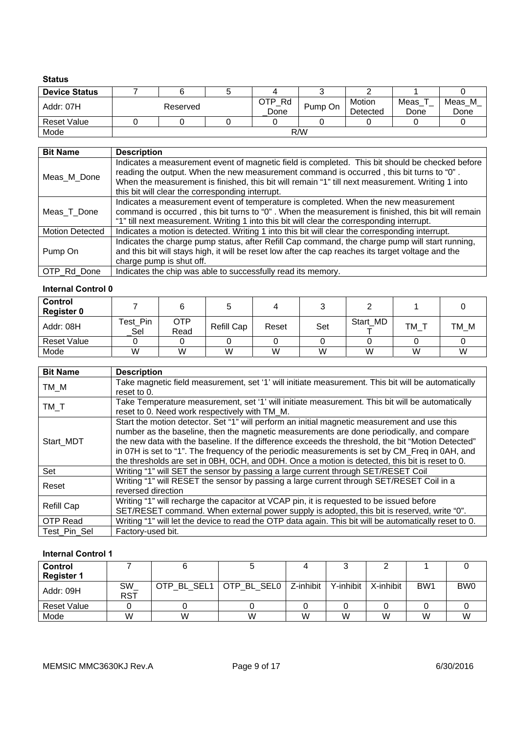#### **Status**

| <b>Device Status</b> |          |  |  |                |         |                    |              |                |  |
|----------------------|----------|--|--|----------------|---------|--------------------|--------------|----------------|--|
| Addr: 07H            | Reserved |  |  | OTP Rd<br>Done | Pump On | Motion<br>Detected | Meas<br>Done | Meas_M<br>Done |  |
| <b>Reset Value</b>   |          |  |  |                |         |                    |              |                |  |
| Mode                 | R/W      |  |  |                |         |                    |              |                |  |

| <b>Bit Name</b>        | <b>Description</b>                                                                                                                                                                                                                                                                                                                                  |
|------------------------|-----------------------------------------------------------------------------------------------------------------------------------------------------------------------------------------------------------------------------------------------------------------------------------------------------------------------------------------------------|
| Meas_M_Done            | Indicates a measurement event of magnetic field is completed. This bit should be checked before<br>reading the output. When the new measurement command is occurred, this bit turns to "0".<br>When the measurement is finished, this bit will remain "1" till next measurement. Writing 1 into<br>this bit will clear the corresponding interrupt. |
| Meas_T_Done            | Indicates a measurement event of temperature is completed. When the new measurement<br>command is occurred, this bit turns to "0". When the measurement is finished, this bit will remain<br>"1" till next measurement. Writing 1 into this bit will clear the corresponding interrupt.                                                             |
| <b>Motion Detected</b> | Indicates a motion is detected. Writing 1 into this bit will clear the corresponding interrupt.                                                                                                                                                                                                                                                     |
| Pump On                | Indicates the charge pump status, after Refill Cap command, the charge pump will start running,<br>and this bit will stays high, it will be reset low after the cap reaches its target voltage and the<br>charge pump is shut off.                                                                                                                  |
| OTP Rd Done            | Indicates the chip was able to successfully read its memory.                                                                                                                                                                                                                                                                                        |

#### **Internal Control 0**

| <b>Control</b><br><b>Register 0</b> |                 |                    |            |       |     |          |      |      |
|-------------------------------------|-----------------|--------------------|------------|-------|-----|----------|------|------|
| Addr: 08H                           | Test_Pin<br>Sel | <b>OTP</b><br>Read | Refill Cap | Reset | Set | Start MD | TM T | TM M |
| <b>Reset Value</b>                  |                 |                    |            |       |     |          |      |      |
| Mode                                | W               | W                  | W          | W     | W   | W        | W    | W    |

| <b>Bit Name</b> | <b>Description</b>                                                                                     |
|-----------------|--------------------------------------------------------------------------------------------------------|
| TM M            | Take magnetic field measurement, set '1' will initiate measurement. This bit will be automatically     |
|                 | reset to 0.                                                                                            |
|                 | Take Temperature measurement, set '1' will initiate measurement. This bit will be automatically        |
| TM T            | reset to 0. Need work respectively with TM M.                                                          |
|                 | Start the motion detector. Set "1" will perform an initial magnetic measurement and use this           |
| Start MDT       | number as the baseline, then the magnetic measurements are done periodically, and compare              |
|                 | the new data with the baseline. If the difference exceeds the threshold, the bit "Motion Detected"     |
|                 | in 07H is set to "1". The frequency of the periodic measurements is set by CM Freq in 0AH, and         |
|                 | the thresholds are set in 0BH, 0CH, and 0DH. Once a motion is detected, this bit is reset to 0.        |
| Set             | Writing "1" will SET the sensor by passing a large current through SET/RESET Coil                      |
| Reset           | Writing "1" will RESET the sensor by passing a large current through SET/RESET Coil in a               |
|                 | reversed direction                                                                                     |
|                 | Writing "1" will recharge the capacitor at VCAP pin, it is requested to be issued before               |
| Refill Cap      | SET/RESET command. When external power supply is adopted, this bit is reserved, write "0".             |
| OTP Read        | Writing "1" will let the device to read the OTP data again. This bit will be automatically reset to 0. |
| Test Pin Sel    | Factory-used bit.                                                                                      |

#### **Internal Control 1**

| <b>Control</b><br><b>Register 1</b> |                  |   |                           |           |           |           |                 |                 |
|-------------------------------------|------------------|---|---------------------------|-----------|-----------|-----------|-----------------|-----------------|
| Addr: 09H                           | SW<br><b>RST</b> |   | OTP BL SEL1   OTP BL SEL0 | Z-inhibit | Y-inhibit | X-inhibit | BW <sub>1</sub> | BW <sub>0</sub> |
| <b>Reset Value</b>                  |                  |   |                           |           |           |           |                 |                 |
| Mode                                | W                | W | W                         | W         | W         | W         | W               | W               |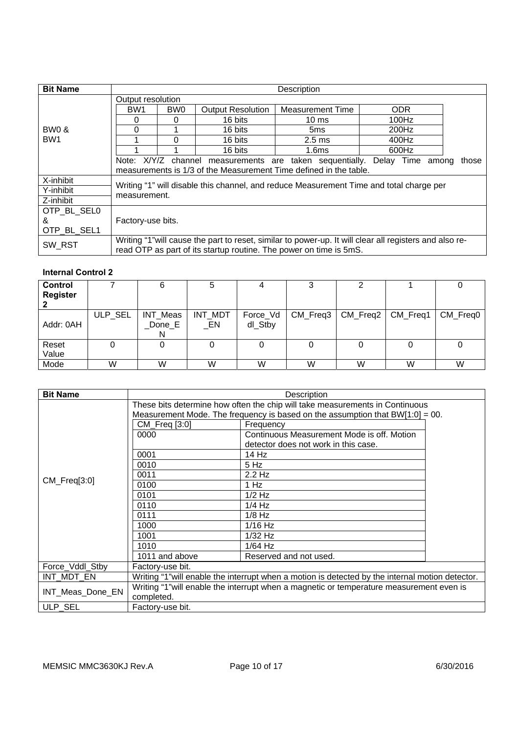| <b>Bit Name</b>                     |                                                                   |                                                                                    |         | Description                                                                                             |            |  |  |  |  |  |  |
|-------------------------------------|-------------------------------------------------------------------|------------------------------------------------------------------------------------|---------|---------------------------------------------------------------------------------------------------------|------------|--|--|--|--|--|--|
|                                     | Output resolution                                                 |                                                                                    |         |                                                                                                         |            |  |  |  |  |  |  |
|                                     | BW <sub>1</sub>                                                   | BW <sub>0</sub><br><b>Output Resolution</b>                                        |         | <b>Measurement Time</b>                                                                                 | <b>ODR</b> |  |  |  |  |  |  |
|                                     | 0                                                                 |                                                                                    | 16 bits | $10 \text{ ms}$                                                                                         | 100Hz      |  |  |  |  |  |  |
| <b>BW0 &amp;</b><br>BW <sub>1</sub> | 0                                                                 |                                                                                    | 16 bits | 5ms                                                                                                     | 200Hz      |  |  |  |  |  |  |
|                                     |                                                                   |                                                                                    | 16 bits | $2.5 \text{ ms}$                                                                                        | 400Hz      |  |  |  |  |  |  |
|                                     |                                                                   |                                                                                    | 16 bits | 1.6 <sub>ms</sub>                                                                                       | 600Hz      |  |  |  |  |  |  |
|                                     |                                                                   | Note: X/Y/Z channel measurements are taken sequentially. Delay Time among<br>those |         |                                                                                                         |            |  |  |  |  |  |  |
|                                     | measurements is 1/3 of the Measurement Time defined in the table. |                                                                                    |         |                                                                                                         |            |  |  |  |  |  |  |
| X-inhibit                           |                                                                   |                                                                                    |         | Writing "1" will disable this channel, and reduce Measurement Time and total charge per                 |            |  |  |  |  |  |  |
| Y-inhibit                           | measurement.                                                      |                                                                                    |         |                                                                                                         |            |  |  |  |  |  |  |
| Z-inhibit                           |                                                                   |                                                                                    |         |                                                                                                         |            |  |  |  |  |  |  |
| OTP BL SEL0                         |                                                                   |                                                                                    |         |                                                                                                         |            |  |  |  |  |  |  |
| &                                   | Factory-use bits.                                                 |                                                                                    |         |                                                                                                         |            |  |  |  |  |  |  |
| OTP BL SEL1                         |                                                                   |                                                                                    |         |                                                                                                         |            |  |  |  |  |  |  |
| SW RST                              |                                                                   |                                                                                    |         | Writing "1" will cause the part to reset, similar to power-up. It will clear all registers and also re- |            |  |  |  |  |  |  |
|                                     |                                                                   |                                                                                    |         | read OTP as part of its startup routine. The power on time is 5mS.                                      |            |  |  |  |  |  |  |

### **Internal Control 2**

| <b>Control</b><br><b>Register</b> |         | 6                        |                   |                     |          |          |          |          |
|-----------------------------------|---------|--------------------------|-------------------|---------------------|----------|----------|----------|----------|
| Addr: 0AH                         | ULP_SEL | INT_Meas<br>_Done_E<br>N | INT_MDT<br>$\_EN$ | Force_Vd<br>dl_Stby | CM_Freq3 | CM_Freq2 | CM_Freq1 | CM_Freq0 |
| Reset<br>Value                    |         |                          |                   |                     |          |          |          |          |
| Mode                              | W       | W                        | W                 | W                   | W        | W        | W        | W        |

| <b>Bit Name</b>  |                                                                                          | Description                                                                                      |  |  |  |  |  |  |
|------------------|------------------------------------------------------------------------------------------|--------------------------------------------------------------------------------------------------|--|--|--|--|--|--|
|                  | These bits determine how often the chip will take measurements in Continuous             |                                                                                                  |  |  |  |  |  |  |
|                  | Measurement Mode. The frequency is based on the assumption that $BW[1:0] = 00$ .         |                                                                                                  |  |  |  |  |  |  |
|                  | CM_Freq [3:0]                                                                            | Frequency                                                                                        |  |  |  |  |  |  |
|                  | 0000                                                                                     | Continuous Measurement Mode is off. Motion                                                       |  |  |  |  |  |  |
|                  |                                                                                          | detector does not work in this case.                                                             |  |  |  |  |  |  |
| $CM_Freq[3:0]$   | 0001                                                                                     | 14 Hz                                                                                            |  |  |  |  |  |  |
|                  | 0010                                                                                     | 5 Hz                                                                                             |  |  |  |  |  |  |
|                  | 0011                                                                                     | $2.2$ Hz                                                                                         |  |  |  |  |  |  |
|                  | 0100                                                                                     | 1 Hz                                                                                             |  |  |  |  |  |  |
|                  | 0101                                                                                     | $1/2$ Hz                                                                                         |  |  |  |  |  |  |
|                  | 0110                                                                                     | $1/4$ Hz                                                                                         |  |  |  |  |  |  |
|                  | 0111                                                                                     | $1/8$ Hz                                                                                         |  |  |  |  |  |  |
|                  | 1000                                                                                     | $1/16$ Hz                                                                                        |  |  |  |  |  |  |
|                  | 1001                                                                                     | $1/32$ Hz                                                                                        |  |  |  |  |  |  |
|                  | 1010                                                                                     | $1/64$ Hz                                                                                        |  |  |  |  |  |  |
|                  | 1011 and above                                                                           | Reserved and not used.                                                                           |  |  |  |  |  |  |
| Force_Vddl_Stby  | Factory-use bit.                                                                         |                                                                                                  |  |  |  |  |  |  |
| INT_MDT_EN       |                                                                                          | Writing "1" will enable the interrupt when a motion is detected by the internal motion detector. |  |  |  |  |  |  |
| INT_Meas_Done_EN | Writing "1" will enable the interrupt when a magnetic or temperature measurement even is |                                                                                                  |  |  |  |  |  |  |
|                  | completed.                                                                               |                                                                                                  |  |  |  |  |  |  |
| ULP SEL          | Factory-use bit.                                                                         |                                                                                                  |  |  |  |  |  |  |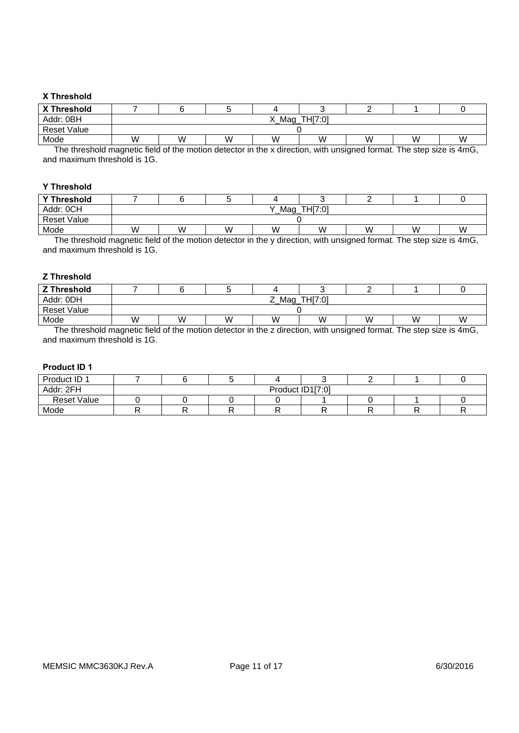#### **X Threshold**

| X Threshold    |   |                             |   |           |   |                 |       |   |  |
|----------------|---|-----------------------------|---|-----------|---|-----------------|-------|---|--|
| Addr: 0BH      |   | THI7:01<br>$\mathsf{Mag}_-$ |   |           |   |                 |       |   |  |
| Reset Value    |   |                             |   |           |   |                 |       |   |  |
| Mode           | W | W                           | W | W         | W | W               | ١M    | W |  |
| $- \cdot$<br>. | . |                             |   | $\cdot$ . | . | $\cdot$ $\cdot$ | _____ | . |  |

The threshold magnetic field of the motion detector in the x direction, with unsigned format. The step size is 4mG, and maximum threshold is 1G.

#### **Y Threshold**

| <b>Y Threshold</b> |   |                |   |   |   |   |   |   |  |
|--------------------|---|----------------|---|---|---|---|---|---|--|
| Addr: OCH          |   | TH[7:0]<br>Mag |   |   |   |   |   |   |  |
| <b>Reset Value</b> |   |                |   |   |   |   |   |   |  |
| Mode               | W | w              | W | W | W | W | W | W |  |

The threshold magnetic field of the motion detector in the y direction, with unsigned format. The step size is 4mG, and maximum threshold is 1G.

#### **Z Threshold**

| <b>Z Threshold</b> |   |                |   |   |   |   |   |   |  |  |
|--------------------|---|----------------|---|---|---|---|---|---|--|--|
| Addr: 0DH          |   | TH[7:0]<br>Mag |   |   |   |   |   |   |  |  |
| Reset Value        |   |                |   |   |   |   |   |   |  |  |
| Mode               | W | W              | W | W | W | w | W | W |  |  |

The threshold magnetic field of the motion detector in the z direction, with unsigned format. The step size is 4mG, and maximum threshold is 1G.

#### **Product ID 1**

| Product ID 1       |                  |  |  |  |  |  |  |
|--------------------|------------------|--|--|--|--|--|--|
| Addr: 2FH          | Product ID1[7:0] |  |  |  |  |  |  |
| <b>Reset Value</b> |                  |  |  |  |  |  |  |
| Mode               |                  |  |  |  |  |  |  |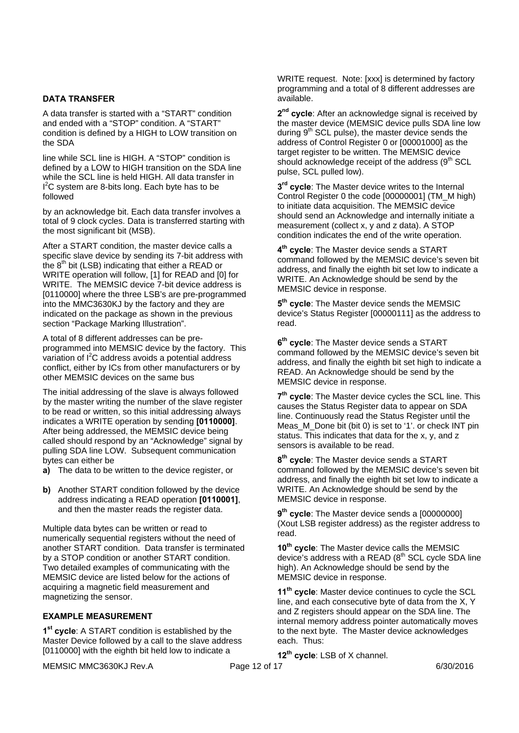#### **DATA TRANSFER**

A data transfer is started with a "START" condition and ended with a "STOP" condition. A "START" condition is defined by a HIGH to LOW transition on the SDA

line while SCL line is HIGH. A "STOP" condition is defined by a LOW to HIGH transition on the SDA line while the SCL line is held HIGH. All data transfer in  $I<sup>2</sup>C$  system are 8-bits long. Each byte has to be followed

by an acknowledge bit. Each data transfer involves a total of 9 clock cycles. Data is transferred starting with the most significant bit (MSB).

After a START condition, the master device calls a specific slave device by sending its 7-bit address with the 8<sup>th</sup> bit (LSB) indicating that either a READ or WRITE operation will follow, [1] for READ and [0] for WRITE. The MEMSIC device 7-bit device address is [0110000] where the three LSB's are pre-programmed into the MMC3630KJ by the factory and they are indicated on the package as shown in the previous section "Package Marking Illustration".

A total of 8 different addresses can be preprogrammed into MEMSIC device by the factory. This variation of  $I^2C$  address avoids a potential address conflict, either by ICs from other manufacturers or by other MEMSIC devices on the same bus

The initial addressing of the slave is always followed by the master writing the number of the slave register to be read or written, so this initial addressing always indicates a WRITE operation by sending **[0110000]**. After being addressed, the MEMSIC device being called should respond by an "Acknowledge" signal by pulling SDA line LOW. Subsequent communication bytes can either be

**a)** The data to be written to the device register, or

**b)** Another START condition followed by the device address indicating a READ operation **[0110001]**, and then the master reads the register data.

Multiple data bytes can be written or read to numerically sequential registers without the need of another START condition. Data transfer is terminated by a STOP condition or another START condition. Two detailed examples of communicating with the MEMSIC device are listed below for the actions of acquiring a magnetic field measurement and magnetizing the sensor.

#### **EXAMPLE MEASUREMENT**

**1st cycle**: A START condition is established by the Master Device followed by a call to the slave address [0110000] with the eighth bit held low to indicate a

MEMSIC MMC3630KJ Rev.A Page 12 of 17 February 2016 6/30/2016

WRITE request. Note: [xxx] is determined by factory programming and a total of 8 different addresses are available.

2<sup>nd</sup> cvcle: After an acknowledge signal is received by the master device (MEMSIC device pulls SDA line low during  $9<sup>th</sup>$  SCL pulse), the master device sends the address of Control Register 0 or [00001000] as the target register to be written. The MEMSIC device should acknowledge receipt of the address (9<sup>th</sup> SCL pulse, SCL pulled low).

**3rd cycle**: The Master device writes to the Internal Control Register 0 the code [00000001] (TM\_M high) to initiate data acquisition. The MEMSIC device should send an Acknowledge and internally initiate a measurement (collect x, y and z data). A STOP condition indicates the end of the write operation.

**4th cycle**: The Master device sends a START command followed by the MEMSIC device's seven bit address, and finally the eighth bit set low to indicate a WRITE. An Acknowledge should be send by the MEMSIC device in response.

**5th cycle**: The Master device sends the MEMSIC device's Status Register [00000111] as the address to read.

**6th cycle**: The Master device sends a START command followed by the MEMSIC device's seven bit address, and finally the eighth bit set high to indicate a READ. An Acknowledge should be send by the MEMSIC device in response.

**7th cycle**: The Master device cycles the SCL line. This causes the Status Register data to appear on SDA line. Continuously read the Status Register until the Meas\_M\_Done bit (bit 0) is set to '1'. or check INT pin status. This indicates that data for the x, y, and z sensors is available to be read.

**8th cycle**: The Master device sends a START command followed by the MEMSIC device's seven bit address, and finally the eighth bit set low to indicate a WRITE. An Acknowledge should be send by the MEMSIC device in response.

9<sup>th</sup> cycle: The Master device sends a [00000000] (Xout LSB register address) as the register address to read.

**10th cycle**: The Master device calls the MEMSIC device's address with a READ (8<sup>th</sup> SCL cycle SDA line high). An Acknowledge should be send by the MEMSIC device in response.

**11th cycle**: Master device continues to cycle the SCL line, and each consecutive byte of data from the X, Y and Z registers should appear on the SDA line. The internal memory address pointer automatically moves to the next byte. The Master device acknowledges each. Thus:

**12th cycle**: LSB of X channel.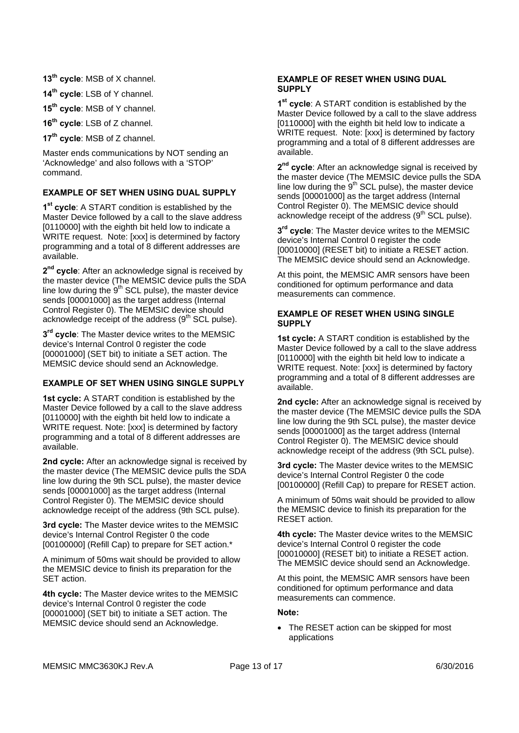**13th cycle**: MSB of X channel.

**14th cycle**: LSB of Y channel.

**15th cycle**: MSB of Y channel.

**16th cycle**: LSB of Z channel.

**17th cycle**: MSB of Z channel.

Master ends communications by NOT sending an 'Acknowledge' and also follows with a 'STOP' command.

#### **EXAMPLE OF SET WHEN USING DUAL SUPPLY**

**1st cycle**: A START condition is established by the Master Device followed by a call to the slave address [0110000] with the eighth bit held low to indicate a WRITE request. Note: [xxx] is determined by factory programming and a total of 8 different addresses are available.

**2nd cycle**: After an acknowledge signal is received by the master device (The MEMSIC device pulls the SDA line low during the  $9<sup>th</sup>$  SCL pulse), the master device sends [00001000] as the target address (Internal Control Register 0). The MEMSIC device should acknowledge receipt of the address  $(9<sup>th</sup>$  SCL pulse).

 $3<sup>rd</sup>$  cycle: The Master device writes to the MEMSIC device's Internal Control 0 register the code [00001000] (SET bit) to initiate a SET action. The MEMSIC device should send an Acknowledge.

### **EXAMPLE OF SET WHEN USING SINGLE SUPPLY**

**1st cycle:** A START condition is established by the Master Device followed by a call to the slave address [0110000] with the eighth bit held low to indicate a WRITE request. Note: [xxx] is determined by factory programming and a total of 8 different addresses are available.

**2nd cycle:** After an acknowledge signal is received by the master device (The MEMSIC device pulls the SDA line low during the 9th SCL pulse), the master device sends [00001000] as the target address (Internal Control Register 0). The MEMSIC device should acknowledge receipt of the address (9th SCL pulse).

**3rd cycle:** The Master device writes to the MEMSIC device's Internal Control Register 0 the code [00100000] (Refill Cap) to prepare for SET action.\*

A minimum of 50ms wait should be provided to allow the MEMSIC device to finish its preparation for the SET action.

**4th cycle:** The Master device writes to the MEMSIC device's Internal Control 0 register the code [00001000] (SET bit) to initiate a SET action. The MEMSIC device should send an Acknowledge.

#### **EXAMPLE OF RESET WHEN USING DUAL SUPPLY**

**1st cycle**: A START condition is established by the Master Device followed by a call to the slave address [0110000] with the eighth bit held low to indicate a WRITE request. Note: [xxx] is determined by factory programming and a total of 8 different addresses are available.

2<sup>nd</sup> cycle: After an acknowledge signal is received by the master device (The MEMSIC device pulls the SDA line low during the  $9<sup>th</sup>$  SCL pulse), the master device sends [00001000] as the target address (Internal Control Register 0). The MEMSIC device should acknowledge receipt of the address (9<sup>th</sup> SCL pulse).

**3rd cycle**: The Master device writes to the MEMSIC device's Internal Control 0 register the code [00010000] (RESET bit) to initiate a RESET action. The MEMSIC device should send an Acknowledge.

At this point, the MEMSIC AMR sensors have been conditioned for optimum performance and data measurements can commence.

#### **EXAMPLE OF RESET WHEN USING SINGLE SUPPLY**

**1st cycle:** A START condition is established by the Master Device followed by a call to the slave address [0110000] with the eighth bit held low to indicate a WRITE request. Note: [xxx] is determined by factory programming and a total of 8 different addresses are available.

**2nd cycle:** After an acknowledge signal is received by the master device (The MEMSIC device pulls the SDA line low during the 9th SCL pulse), the master device sends [00001000] as the target address (Internal Control Register 0). The MEMSIC device should acknowledge receipt of the address (9th SCL pulse).

**3rd cycle:** The Master device writes to the MEMSIC device's Internal Control Register 0 the code [00100000] (Refill Cap) to prepare for RESET action.

A minimum of 50ms wait should be provided to allow the MEMSIC device to finish its preparation for the RESET action.

**4th cycle:** The Master device writes to the MEMSIC device's Internal Control 0 register the code [00010000] (RESET bit) to initiate a RESET action. The MEMSIC device should send an Acknowledge.

At this point, the MEMSIC AMR sensors have been conditioned for optimum performance and data measurements can commence.

#### **Note:**

 The RESET action can be skipped for most applications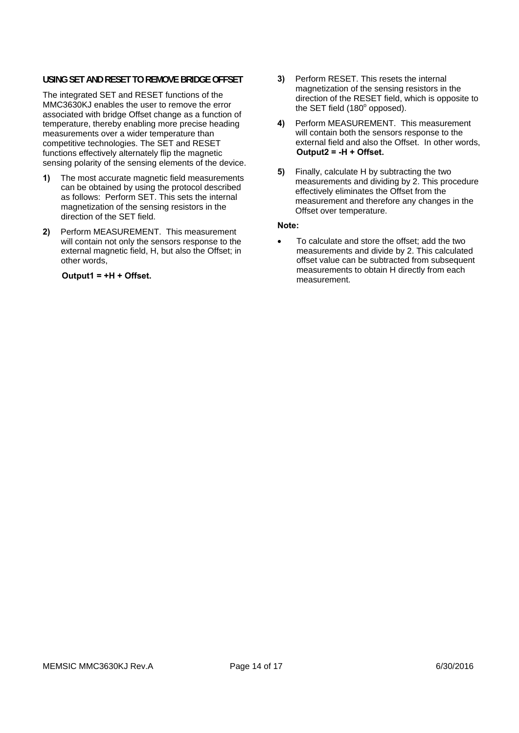#### **USING SET AND RESET TO REMOVE BRIDGE OFFSET**

The integrated SET and RESET functions of the MMC3630KJ enables the user to remove the error associated with bridge Offset change as a function of temperature, thereby enabling more precise heading measurements over a wider temperature than competitive technologies. The SET and RESET functions effectively alternately flip the magnetic sensing polarity of the sensing elements of the device.

- **1)** The most accurate magnetic field measurements can be obtained by using the protocol described as follows: Perform SET. This sets the internal magnetization of the sensing resistors in the direction of the SET field.
- **2)** Perform MEASUREMENT. This measurement will contain not only the sensors response to the external magnetic field, H, but also the Offset; in other words,

#### **Output1 = +H + Offset.**

- **3)** Perform RESET. This resets the internal magnetization of the sensing resistors in the direction of the RESET field, which is opposite to the SET field  $(180^\circ$  opposed).
- **4)** Perform MEASUREMENT. This measurement will contain both the sensors response to the external field and also the Offset. In other words, **Output2 = -H + Offset.**
- **5)** Finally, calculate H by subtracting the two measurements and dividing by 2. This procedure effectively eliminates the Offset from the measurement and therefore any changes in the Offset over temperature.

#### **Note:**

 To calculate and store the offset; add the two measurements and divide by 2. This calculated offset value can be subtracted from subsequent measurements to obtain H directly from each measurement.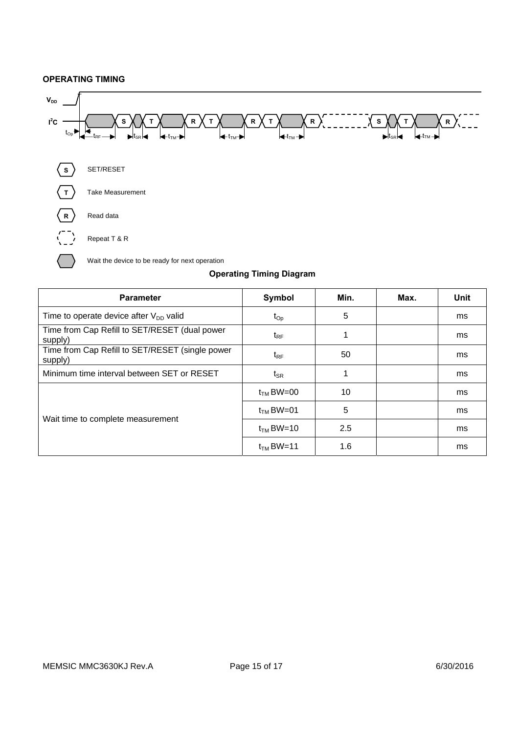#### **OPERATING TIMING**



| <b>Parameter</b>                                           | Symbol         | Min. | Max. | <b>Unit</b> |
|------------------------------------------------------------|----------------|------|------|-------------|
| Time to operate device after $V_{DD}$ valid                | $t_{Op}$       | 5    |      | ms          |
| Time from Cap Refill to SET/RESET (dual power<br>supply)   | $t_{RF}$       |      |      | ms          |
| Time from Cap Refill to SET/RESET (single power<br>supply) | $t_{RF}$       | 50   |      | ms          |
| Minimum time interval between SET or RESET                 | $t_{\sf SR}$   |      |      | ms          |
|                                                            | $t_{TM}$ BW=00 | 10   |      | ms          |
|                                                            | $t_{TM}$ BW=01 | 5    |      | ms          |
| Wait time to complete measurement                          | $t_{TM}$ BW=10 | 2.5  |      | ms          |
|                                                            | $t_{TM}$ BW=11 | 1.6  |      | ms          |

### **Operating Timing Diagram**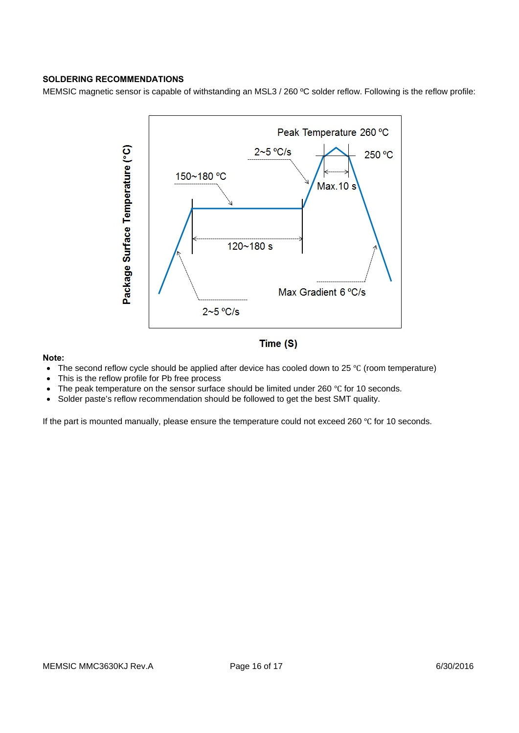#### **SOLDERING RECOMMENDATIONS**

MEMSIC magnetic sensor is capable of withstanding an MSL3 / 260 ºC solder reflow. Following is the reflow profile:



#### **Note:**

- The second reflow cycle should be applied after device has cooled down to 25 °C (room temperature)
- This is the reflow profile for Pb free process
- The peak temperature on the sensor surface should be limited under 260 °C for 10 seconds.
- Solder paste's reflow recommendation should be followed to get the best SMT quality.

If the part is mounted manually, please ensure the temperature could not exceed 260 °C for 10 seconds.